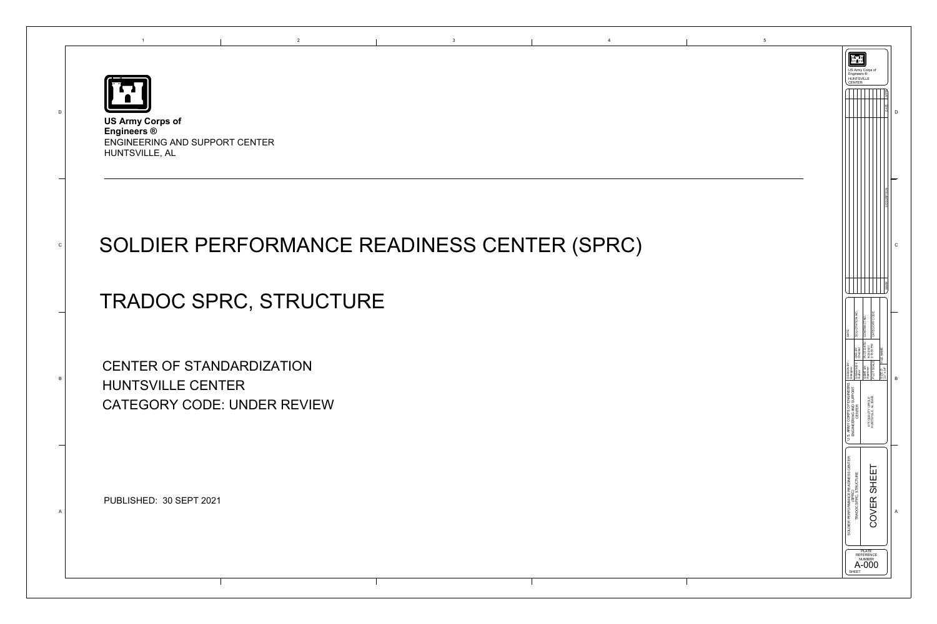



## SOLDIER PERFORMANCE READINESS CENTER (SPRC)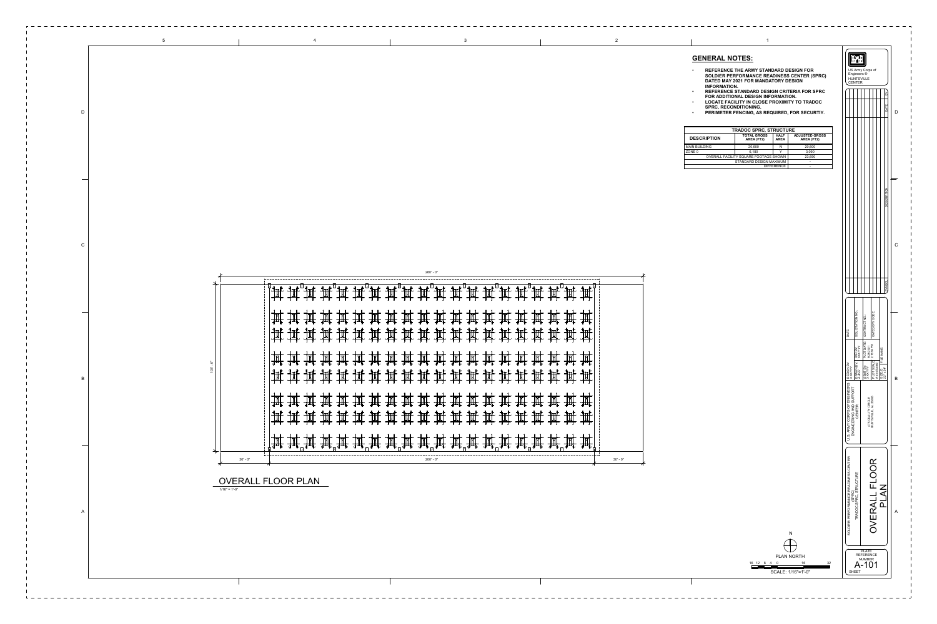| <b>TRADOC SPRC, STRUCTURE</b>         |                                  |                            |                                     |  |  |  |  |  |
|---------------------------------------|----------------------------------|----------------------------|-------------------------------------|--|--|--|--|--|
| <b>DESCRIPTION</b>                    | <b>TOTAL GROSS</b><br>AREA (FT2) | <b>HALF</b><br><b>AREA</b> | <b>ADJUSTED GROSS</b><br>AREA (FT2) |  |  |  |  |  |
| <b>MAIN BUILDING</b>                  | 20,600                           | N                          | 20,600                              |  |  |  |  |  |
| ZONE 0                                | 6,180<br>◡                       |                            | 3,090                               |  |  |  |  |  |
| OVERALL FACILITY SQUARE FOOTAGE SHOWN | 23,690                           |                            |                                     |  |  |  |  |  |
| STANDARD DESIGN MAXIMUM               |                                  |                            |                                     |  |  |  |  |  |
|                                       | -                                |                            |                                     |  |  |  |  |  |

260' - 0"

| ╶╋╤╒┢╴╶╋╤╒┢╴╶╋╤╒┢╶╴╋╤╒┢╶╶╋╤╒┝╶╶╋╤╒┝╶╶╋╤╒┝╴╶╋╤╬╸╶╉╤╄╴╶┽┼╁┾╴╶╅┼┼╄╴╶╅┼┼╄╴╶╅┼┼╄╴╶╉┼┼╄╴╶╅┼┼╄╴╶╅┼┼╄╌<br>╶╅┼┼╄╴╶╅┼┼╄╴╶╅┼┼╄╴╶┽┼┼╄╴╶╅┼┼╄╴╶╅┼┼╄╴╶╉┼┼╄╴╶╉┼┼╄╴╶╉┼┼╄╴╶╈┼┼╄╴╶╅┼┼╄╴╶╉┼┼╄╴╶╉┼┼╄╴╶╋╤╄╴╶╋╤╄╴╶╫╧╄╴<br>╶┽╧╄╸╶╃╧╄╴╶╃╧╄╴╶╃╧╄╴╶╃╧╄╴╶╃╧╄╴╶╃<br>▜▗ <sub>구</sub> ▐▘<br>▁▁▁▁▁ |               |
|--------------------------------------------------------------------------------------------------------------------------------------------------------------------------------------------------------------------------------------------------------------------|---------------|
| ▔▛▛<br>▀▛▟▞<br>╶┪╤╒┢╴╶┪╤╒┢╴╶┪╤╒┢╴╶┪╤╒┢╶╶┪╤╒┢╴╶┪╤╒┢╴╶┪╤╒┢╴╶┪╤╒┢╴╶┪╤╒┢╴╶┪╤╒┝╴╶╅╤╄╴╶╄╤╄╴╶╅╤╄╴╶╄╤╄╴╶┽╤╄╴╶┽╤╄╴╶╅╤╄<br>╶┽┼┾╌╶┿┼┼╄╴╶┽┼┼╄╴╶┽┼┼╄╴╶┿┼┼╄╴╶┽┼┼╄╌╶┿┼┼╄╴╶╃┼┼╄╴╶╃┼┼╄╴╶╋┼╄╴╺╋┼╄╌╴╾╉┼╄╴╺╋┼┞╴╶╋╤╄╴╶╄╧╄╴╶╄╧╄╴╶╫╧╇╴╶╄╧╇<br>╶┽╧╄╸╶╃╧╄╴╶╃╧╄╴╶╃╧╄╴╶╄╧╄╴╶╄                 |               |
|                                                                                                                                                                                                                                                                    |               |
| ╶╋╤╒┣╴╶╋╤╒┣╴╶╋╤╒┣╴╶╉╤╒┝╶╶╄╤╄╷╶╉╤╒┝╶╶╉╤╒┡╴╶╉╤╒┡╴╶╉╤╒┝╴╶╉╤╄╴╶┽╤╄╴╶┽╤╄╴╶┽╤╊╴╶┽╤╊╴╶┽╤╊╴╶┽╤╊╴╶╅╧╋<br>╶┽┼┼╄╴╶┽┼┼╄╴╶┽┼┼╊╴╶┽┼┼╄╴╶┽┼┼╄╴╶┽┼┼╄╴╶┽┼┼╄╴╶┽┼┼╄╴╶╃┼┼╄╴╶╃┼┼╄╴╺┽┼┼╄╴╺╃┼┼╄╴╺╃┼┼╄╴╺╉┼┼╄╴╺╃┼┼╄╴╺╉╤╒<br>╶┽╧╇╴╷┽╧╄╴╶╃╧╄╴╶╃╧╄╴╶┽╧╄╴╶╄╧╄╴╶╃╧                                |               |
| $200' - 0"$                                                                                                                                                                                                                                                        | $30'$ - $0''$ |

## **GENERAL NOTES:**

- **REFERENCE THE ARMY STANDARD DESIGN FOR SOLDIER PERFORMANCE READINESS CENTER (SPRC) DATED MAY 2021 FOR MANDATORY DESIGN INFORMATION.**
- **REFERENCE STANDARD DESIGN CRITERIA FOR SPRC FOR ADDITIONAL DESIGN INFORMATION.**
- **LOCATE FACILITY IN CLOSE PROXIMITY TO TRADOC SPRC, RECONDITIONING.**
- **PERIMETER FENCING, AS REQUIRED, FOR SECURTIY.**

N

PLAN NORTH 16 12 8 4 16 32

 $\bigoplus$ 

SCALE: 1/16"=1'-0"

0



2

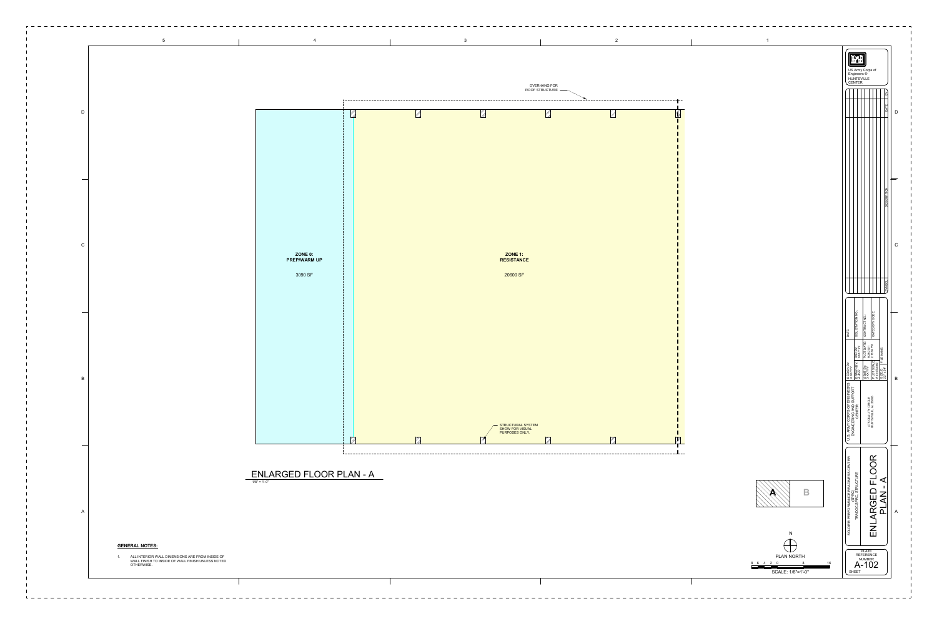

\_ \_ \_ \_ \_ \_ \_ \_ \_ \_ \_ \_ \_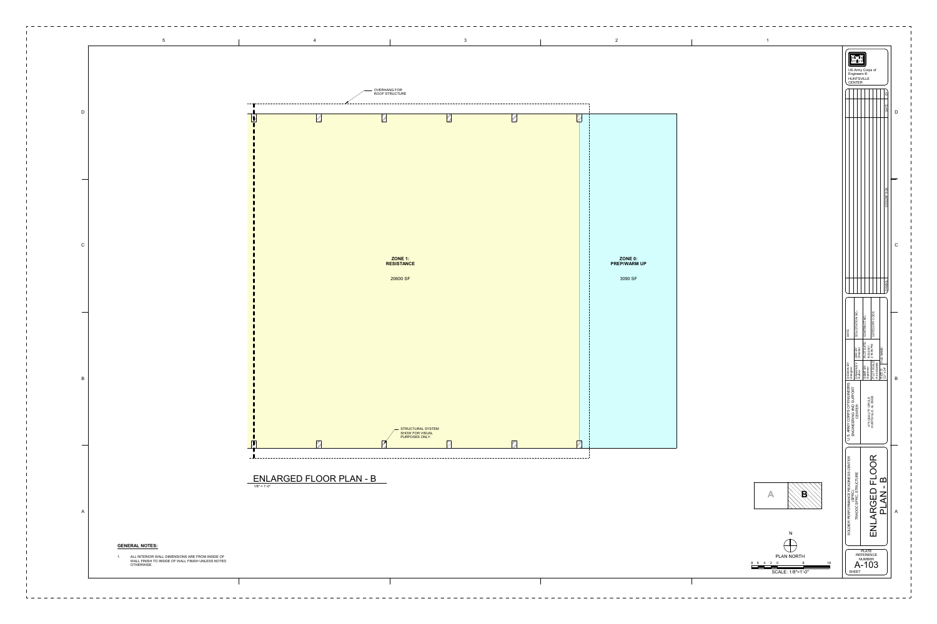|  | - OVERHANG FOR<br>ROOF STRUCTURE          |                                                                      |          |               |                                    |  |
|--|-------------------------------------------|----------------------------------------------------------------------|----------|---------------|------------------------------------|--|
|  |                                           |                                                                      |          |               |                                    |  |
|  | <b>ZONE 1:<br/>RESISTANCE</b><br>20600 SF |                                                                      |          |               | ZONE 0:<br>PREP/WARM UP<br>3090 SF |  |
|  |                                           | — STRUCTURAL SYSTEM<br>SHOW FOR VISUAL<br>PURPOSES ONLY.<br>$\nabla$ | $\nabla$ | $\mathcal{L}$ |                                    |  |



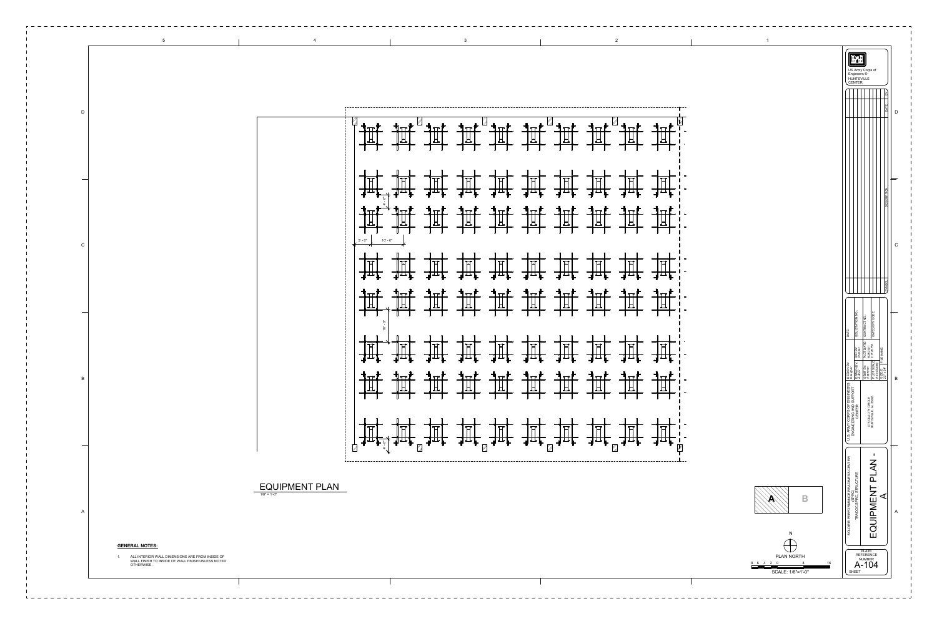